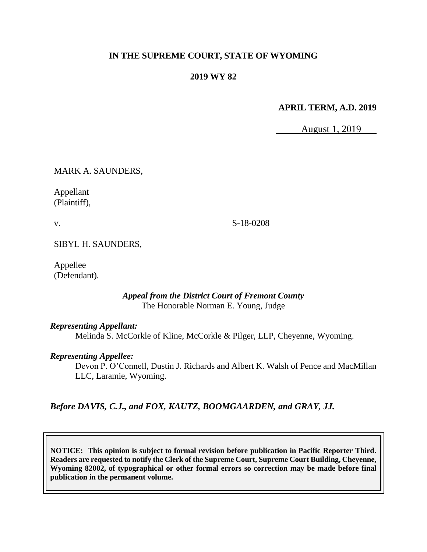### **IN THE SUPREME COURT, STATE OF WYOMING**

### **2019 WY 82**

#### **APRIL TERM, A.D. 2019**

August 1, 2019

MARK A. SAUNDERS,

Appellant (Plaintiff),

v.

S-18-0208

SIBYL H. SAUNDERS,

Appellee (Defendant).

> *Appeal from the District Court of Fremont County* The Honorable Norman E. Young, Judge

#### *Representing Appellant:*

Melinda S. McCorkle of Kline, McCorkle & Pilger, LLP, Cheyenne, Wyoming.

#### *Representing Appellee:*

Devon P. O'Connell, Dustin J. Richards and Albert K. Walsh of Pence and MacMillan LLC, Laramie, Wyoming.

*Before DAVIS, C.J., and FOX, KAUTZ, BOOMGAARDEN, and GRAY, JJ.*

**NOTICE: This opinion is subject to formal revision before publication in Pacific Reporter Third. Readers are requested to notify the Clerk of the Supreme Court, Supreme Court Building, Cheyenne, Wyoming 82002, of typographical or other formal errors so correction may be made before final publication in the permanent volume.**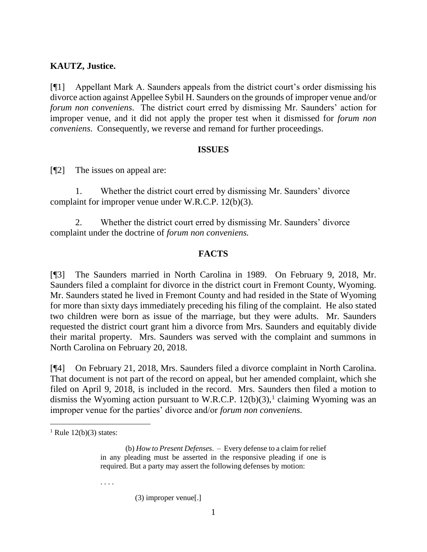#### **KAUTZ, Justice.**

[¶1] Appellant Mark A. Saunders appeals from the district court's order dismissing his divorce action against Appellee Sybil H. Saunders on the grounds of improper venue and/or *forum non conveniens*. The district court erred by dismissing Mr. Saunders' action for improper venue, and it did not apply the proper test when it dismissed for *forum non conveniens*. Consequently, we reverse and remand for further proceedings.

#### **ISSUES**

[¶2] The issues on appeal are:

1. Whether the district court erred by dismissing Mr. Saunders' divorce complaint for improper venue under W.R.C.P. 12(b)(3).

2. Whether the district court erred by dismissing Mr. Saunders' divorce complaint under the doctrine of *forum non conveniens.* 

#### **FACTS**

[¶3] The Saunders married in North Carolina in 1989. On February 9, 2018, Mr. Saunders filed a complaint for divorce in the district court in Fremont County, Wyoming. Mr. Saunders stated he lived in Fremont County and had resided in the State of Wyoming for more than sixty days immediately preceding his filing of the complaint. He also stated two children were born as issue of the marriage, but they were adults. Mr. Saunders requested the district court grant him a divorce from Mrs. Saunders and equitably divide their marital property. Mrs. Saunders was served with the complaint and summons in North Carolina on February 20, 2018.

[¶4] On February 21, 2018, Mrs. Saunders filed a divorce complaint in North Carolina. That document is not part of the record on appeal, but her amended complaint, which she filed on April 9, 2018, is included in the record. Mrs. Saunders then filed a motion to dismiss the Wyoming action pursuant to W.R.C.P.  $12(b)(3)$ ,<sup>1</sup> claiming Wyoming was an improper venue for the parties' divorce and/or *forum non conveniens.* 

 $\overline{a}$ 

. . . .

(3) improper venue[.]

<sup>&</sup>lt;sup>1</sup> Rule 12(b)(3) states:

<sup>(</sup>b) *How to Present Defenses*. – Every defense to a claim for relief in any pleading must be asserted in the responsive pleading if one is required. But a party may assert the following defenses by motion: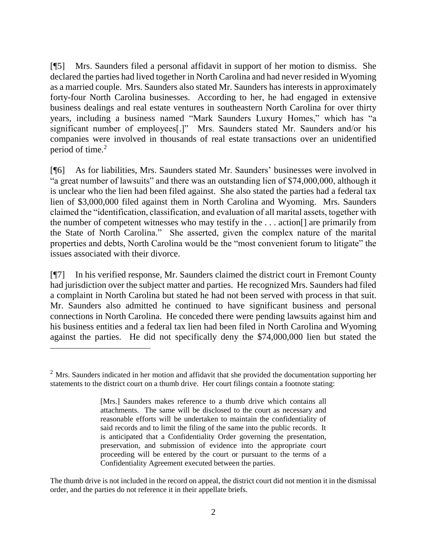[¶5] Mrs. Saunders filed a personal affidavit in support of her motion to dismiss. She declared the parties had lived together in North Carolina and had never resided in Wyoming as a married couple. Mrs. Saunders also stated Mr. Saunders has interests in approximately forty-four North Carolina businesses. According to her, he had engaged in extensive business dealings and real estate ventures in southeastern North Carolina for over thirty years, including a business named "Mark Saunders Luxury Homes," which has "a significant number of employees[.]" Mrs. Saunders stated Mr. Saunders and/or his companies were involved in thousands of real estate transactions over an unidentified period of time.<sup>2</sup>

[¶6] As for liabilities, Mrs. Saunders stated Mr. Saunders' businesses were involved in "a great number of lawsuits" and there was an outstanding lien of \$74,000,000, although it is unclear who the lien had been filed against. She also stated the parties had a federal tax lien of \$3,000,000 filed against them in North Carolina and Wyoming. Mrs. Saunders claimed the "identification, classification, and evaluation of all marital assets, together with the number of competent witnesses who may testify in the . . . action[] are primarily from the State of North Carolina." She asserted, given the complex nature of the marital properties and debts, North Carolina would be the "most convenient forum to litigate" the issues associated with their divorce.

[¶7] In his verified response, Mr. Saunders claimed the district court in Fremont County had jurisdiction over the subject matter and parties. He recognized Mrs. Saunders had filed a complaint in North Carolina but stated he had not been served with process in that suit. Mr. Saunders also admitted he continued to have significant business and personal connections in North Carolina. He conceded there were pending lawsuits against him and his business entities and a federal tax lien had been filed in North Carolina and Wyoming against the parties. He did not specifically deny the \$74,000,000 lien but stated the

The thumb drive is not included in the record on appeal, the district court did not mention it in the dismissal order, and the parties do not reference it in their appellate briefs.

<sup>&</sup>lt;sup>2</sup> Mrs. Saunders indicated in her motion and affidavit that she provided the documentation supporting her statements to the district court on a thumb drive. Her court filings contain a footnote stating:

<sup>[</sup>Mrs.] Saunders makes reference to a thumb drive which contains all attachments. The same will be disclosed to the court as necessary and reasonable efforts will be undertaken to maintain the confidentiality of said records and to limit the filing of the same into the public records. It is anticipated that a Confidentiality Order governing the presentation, preservation, and submission of evidence into the appropriate court proceeding will be entered by the court or pursuant to the terms of a Confidentiality Agreement executed between the parties.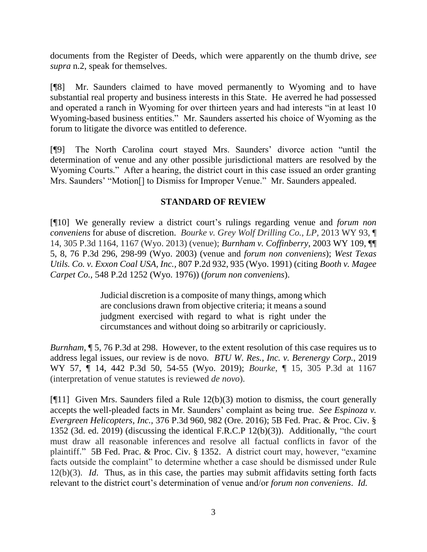documents from the Register of Deeds, which were apparently on the thumb drive, *see supra* n.2, speak for themselves.

[¶8] Mr. Saunders claimed to have moved permanently to Wyoming and to have substantial real property and business interests in this State. He averred he had possessed and operated a ranch in Wyoming for over thirteen years and had interests "in at least 10 Wyoming-based business entities." Mr. Saunders asserted his choice of Wyoming as the forum to litigate the divorce was entitled to deference.

[¶9] The North Carolina court stayed Mrs. Saunders' divorce action "until the determination of venue and any other possible jurisdictional matters are resolved by the Wyoming Courts." After a hearing, the district court in this case issued an order granting Mrs. Saunders' "Motion[] to Dismiss for Improper Venue." Mr. Saunders appealed.

## **STANDARD OF REVIEW**

[¶10] We generally review a district court's rulings regarding venue and *forum non conveniens* for abuse of discretion. *Bourke v. Grey Wolf Drilling Co., LP,* 2013 WY 93, ¶ 14, 305 P.3d 1164, 1167 (Wyo. 2013) (venue); *Burnham v. Coffinberry,* 2003 WY 109, ¶¶ 5, 8, 76 P.3d 296, 298-99 (Wyo. 2003) (venue and *forum non conveniens*); *West Texas Utils. Co. v. Exxon Coal USA, Inc.,* 807 P.2d 932, 935 (Wyo. 1991) (citing *Booth v. Magee Carpet Co.,* 548 P.2d 1252 (Wyo. 1976)) (*forum non conveniens*).

> Judicial discretion is a composite of many things, among which are conclusions drawn from objective criteria; it means a sound judgment exercised with regard to what is right under the circumstances and without doing so arbitrarily or capriciously.

*Burnham,* ¶ 5, 76 P.3d at 298.However, to the extent resolution of this case requires us to address legal issues, our review is de novo*. BTU W. Res., Inc. v. Berenergy Corp.,* 2019 WY 57, ¶ 14, 442 P.3d 50, 54-55 (Wyo. 2019); *Bourke*, ¶ 15, 305 P.3d at 1167 (interpretation of venue statutes is reviewed *de novo*).

[¶11] Given Mrs. Saunders filed a Rule 12(b)(3) motion to dismiss, the court generally accepts the well-pleaded facts in Mr. Saunders' complaint as being true. *See Espinoza v. Evergreen Helicopters, Inc.,* 376 P.3d 960, 982 (Ore. 2016); 5B Fed. Prac. & Proc. Civ. § 1352 (3d. ed. 2019) (discussing the identical F.R.C.P 12(b)(3)). Additionally, "the court must draw all reasonable inferences and resolve all factual conflicts in favor of the plaintiff." 5B Fed. Prac. & Proc. Civ. § 1352. A district court may, however, "examine facts outside the complaint" to determine whether a case should be dismissed under Rule 12(b)(3). *Id*. Thus, as in this case, the parties may submit affidavits setting forth facts relevant to the district court's determination of venue and/or *forum non conveniens*. *Id.*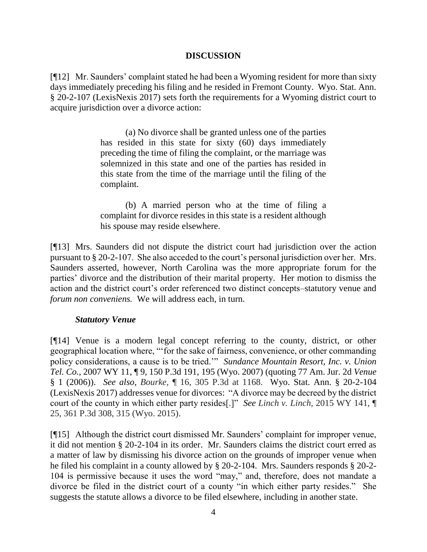### **DISCUSSION**

[¶12] Mr. Saunders' complaint stated he had been a Wyoming resident for more than sixty days immediately preceding his filing and he resided in Fremont County. Wyo. Stat. Ann. § 20-2-107 (LexisNexis 2017) sets forth the requirements for a Wyoming district court to acquire jurisdiction over a divorce action:

> (a) No divorce shall be granted unless one of the parties has resided in this state for sixty (60) days immediately preceding the time of filing the complaint, or the marriage was solemnized in this state and one of the parties has resided in this state from the time of the marriage until the filing of the complaint.

> (b) A married person who at the time of filing a complaint for divorce resides in this state is a resident although his spouse may reside elsewhere.

[¶13] Mrs. Saunders did not dispute the district court had jurisdiction over the action pursuant to § 20-2-107. She also acceded to the court's personal jurisdiction over her. Mrs. Saunders asserted, however, North Carolina was the more appropriate forum for the parties' divorce and the distribution of their marital property. Her motion to dismiss the action and the district court's order referenced two distinct concepts–statutory venue and *forum non conveniens.* We will address each, in turn.

## *Statutory Venue*

[¶14] Venue is a modern legal concept referring to the county, district, or other geographical location where, "'for the sake of fairness, convenience, or other commanding policy considerations, a cause is to be tried.'" *Sundance Mountain Resort, Inc. v. Union Tel. Co.,* 2007 WY 11, ¶ 9, 150 P.3d 191, 195 (Wyo. 2007) (quoting [77 Am. Jur. 2d](http://www.westlaw.com/Link/Document/FullText?findType=Y&serNum=0281521718&pubNum=0113754&originatingDoc=Ia7f13991879c11e5b4bafa136b480ad2&refType=TS&originationContext=document&vr=3.0&rs=cblt1.0&transitionType=DocumentItem&contextData=(sc.Search)) *Venue* [§ 1 \(2006\)\)](http://www.westlaw.com/Link/Document/FullText?findType=Y&serNum=0281521718&pubNum=0113754&originatingDoc=Ia7f13991879c11e5b4bafa136b480ad2&refType=TS&originationContext=document&vr=3.0&rs=cblt1.0&transitionType=DocumentItem&contextData=(sc.Search)). *See also*, *Bourke,* ¶ 16, 305 P.3d at 1168. Wyo. Stat. Ann. § 20-2-104 (LexisNexis 2017) addresses venue for divorces: "A divorce may be decreed by the district court of the county in which either party resides[.]" *See Linch v. Linch,* 2015 WY 141, ¶ 25, 361 P.3d 308, 315 (Wyo. 2015).

[¶15] Although the district court dismissed Mr. Saunders' complaint for improper venue, it did not mention § 20-2-104 in its order. Mr. Saunders claims the district court erred as a matter of law by dismissing his divorce action on the grounds of improper venue when he filed his complaint in a county allowed by § 20-2-104. Mrs. Saunders responds § 20-2- 104 is permissive because it uses the word "may," and, therefore, does not mandate a divorce be filed in the district court of a county "in which either party resides." She suggests the statute allows a divorce to be filed elsewhere, including in another state.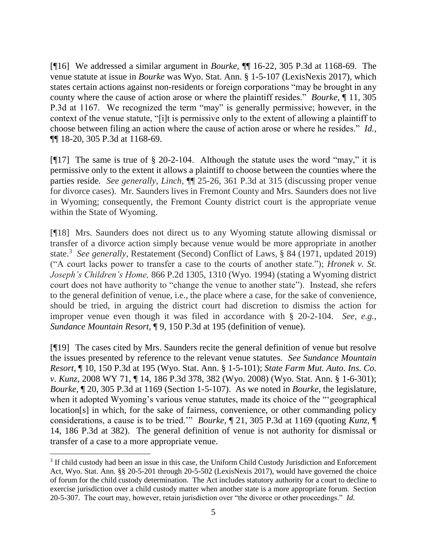[¶16] We addressed a similar argument in *Bourke,* ¶¶ 16-22, 305 P.3d at 1168-69. The venue statute at issue in *Bourke* was Wyo. Stat. Ann. § 1-5-107 (LexisNexis 2017), which states certain actions against non-residents or foreign corporations "may be brought in any county where the cause of action arose or where the plaintiff resides." *Bourke,* ¶ 11, 305 P.3d at 1167. We recognized the term "may" is generally permissive; however, in the context of the venue statute, "[i]t is permissive only to the extent of allowing a plaintiff to choose between filing an action where the cause of action arose or where he resides." *Id.,*  ¶¶ 18-20, 305 P.3d at 1168-69.

[¶17] The same is true of § 20-2-104. Although the statute uses the word "may," it is permissive only to the extent it allows a plaintiff to choose between the counties where the parties reside. *See generally*, *Linch,* ¶¶ 25-26, 361 P.3d at 315 (discussing proper venue for divorce cases). Mr. Saunders lives in Fremont County and Mrs. Saunders does not live in Wyoming; consequently, the Fremont County district court is the appropriate venue within the State of Wyoming.

[¶18] Mrs. Saunders does not direct us to any Wyoming statute allowing dismissal or transfer of a divorce action simply because venue would be more appropriate in another state.<sup>3</sup> See generally, Restatement (Second) Conflict of Laws, § 84 (1971, updated 2019) ("A court lacks power to transfer a case to the courts of another state."); *Hronek v. St. Joseph's Children's Home,* 866 P.2d 1305, 1310 (Wyo. 1994) (stating a Wyoming district court does not have authority to "change the venue to another state"). Instead, she refers to the general definition of venue, i.e., the place where a case, for the sake of convenience, should be tried, in arguing the district court had discretion to dismiss the action for improper venue even though it was filed in accordance with § 20-2-104. *See, e.g.*, *Sundance Mountain Resort*, ¶ 9, 150 P.3d at 195 (definition of venue).

[¶19] The cases cited by Mrs. Saunders recite the general definition of venue but resolve the issues presented by reference to the relevant venue statutes. *See Sundance Mountain Resort,* ¶ 10, 150 P.3d at 195 (Wyo. Stat. Ann. § 1-5-101); *State Farm Mut. Auto. Ins. Co. v. Kunz,* 2008 WY 71, ¶ 14, 186 P.3d 378, 382 (Wyo. 2008) (Wyo. Stat. Ann. § 1-6-301); *Bourke,* ¶ 20, 305 P.3d at 1169 (Section 1-5-107). As we noted in *Bourke,* the legislature, when it adopted Wyoming's various venue statutes, made its choice of the "'geographical location[s] in which, for the sake of fairness, convenience, or other commanding policy considerations, a cause is to be tried.'" *Bourke,* ¶ 21, 305 P.3d at 1169 (quoting *Kunz,* ¶ 14, 186 P.3d at 382). The general definition of venue is not authority for dismissal or transfer of a case to a more appropriate venue.

<sup>&</sup>lt;sup>3</sup> If child custody had been an issue in this case, the Uniform Child Custody Jurisdiction and Enforcement Act, Wyo. Stat. Ann. §§ 20-5-201 through 20-5-502 (LexisNexis 2017), would have governed the choice of forum for the child custody determination. The Act includes statutory authority for a court to decline to exercise jurisdiction over a child custody matter when another state is a more appropriate forum. Section 20-5-307. The court may, however, retain jurisdiction over "the divorce or other proceedings." *Id.*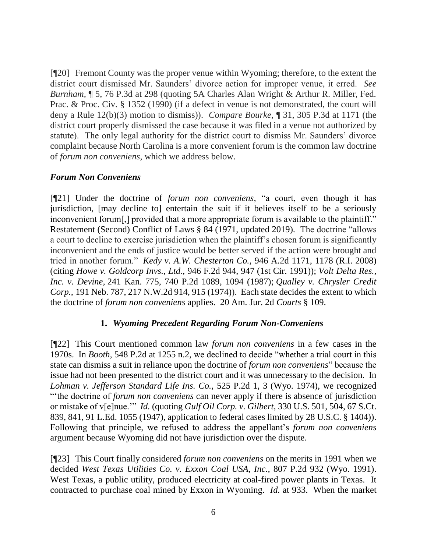[¶20] Fremont County was the proper venue within Wyoming; therefore, to the extent the district court dismissed Mr. Saunders' divorce action for improper venue, it erred. *See Burnham,* ¶ 5, 76 P.3d at 298 (quoting 5A Charles Alan Wright & Arthur R. Miller, Fed. Prac. & Proc. Civ. § 1352 (1990) (if a defect in venue is not demonstrated, the court will deny a Rule 12(b)(3) motion to dismiss)). *Compare Bourke,* ¶ 31, 305 P.3d at 1171 (the district court properly dismissed the case because it was filed in a venue not authorized by statute). The only legal authority for the district court to dismiss Mr. Saunders' divorce complaint because North Carolina is a more convenient forum is the common law doctrine of *forum non conveniens*, which we address below.

## *Forum Non Conveniens*

[¶21] Under the doctrine of *forum non conveniens,* "a court, even though it has jurisdiction, [may decline to] entertain the suit if it believes itself to be a seriously inconvenient forum[,] provided that a more appropriate forum is available to the plaintiff." Restatement (Second) Conflict of Laws § 84 (1971, updated 2019). The doctrine "allows a court to decline to exercise jurisdiction when the plaintiff's chosen forum is significantly inconvenient and the ends of justice would be better served if the action were brought and tried in another forum." *Kedy v. A.W. Chesterton Co.,* 946 A.2d 1171, 1178 (R.I. 2008) (citing *[Howe v. Goldcorp Invs., Ltd.,](https://1.next.westlaw.com/Link/Document/FullText?findType=Y&serNum=1991163285&pubNum=0000350&originatingDoc=I145b92cd1dd811dd8dba9deb08599717&refType=RP&fi=co_pp_sp_350_947&originationContext=document&transitionType=DocumentItem&contextData=(sc.UserEnteredCitation)#co_pp_sp_350_947)* 946 F.2d 944, 947 (1st Cir. 1991)); *[Volt Delta Res.,](https://1.next.westlaw.com/Link/Document/FullText?findType=Y&serNum=1987092650&pubNum=0000661&originatingDoc=I145b92cd1dd811dd8dba9deb08599717&refType=RP&fi=co_pp_sp_661_1094&originationContext=document&transitionType=DocumentItem&contextData=(sc.UserEnteredCitation)#co_pp_sp_661_1094)  Inc. v. Devine,* [241 Kan. 775, 740 P.2d 1089, 1094 \(1987\);](https://1.next.westlaw.com/Link/Document/FullText?findType=Y&serNum=1987092650&pubNum=0000661&originatingDoc=I145b92cd1dd811dd8dba9deb08599717&refType=RP&fi=co_pp_sp_661_1094&originationContext=document&transitionType=DocumentItem&contextData=(sc.UserEnteredCitation)#co_pp_sp_661_1094) *[Qualley v. Chrysler Credit](https://1.next.westlaw.com/Link/Document/FullText?findType=Y&serNum=1974117927&pubNum=0000595&originatingDoc=I145b92cd1dd811dd8dba9deb08599717&refType=RP&fi=co_pp_sp_595_915&originationContext=document&transitionType=DocumentItem&contextData=(sc.UserEnteredCitation)#co_pp_sp_595_915)  Corp.,* [191 Neb. 787, 217 N.W.2d 914, 915 \(1974\)\)](https://1.next.westlaw.com/Link/Document/FullText?findType=Y&serNum=1974117927&pubNum=0000595&originatingDoc=I145b92cd1dd811dd8dba9deb08599717&refType=RP&fi=co_pp_sp_595_915&originationContext=document&transitionType=DocumentItem&contextData=(sc.UserEnteredCitation)#co_pp_sp_595_915). Each state decides the extent to which the doctrine of *forum non conveniens* applies. 20 Am. Jur. 2d *Courts* § 109.

## **1.** *Wyoming Precedent Regarding Forum Non-Conveniens*

[¶22] This Court mentioned common law *forum non conveniens* in a few cases in the 1970s. In *Booth,* 548 P.2d at 1255 n.2, we declined to decide "whether a trial court in this state can dismiss a suit in reliance upon the doctrine of *forum non conveniens*" because the issue had not been presented to the district court and it was unnecessary to the decision. In *Lohman v. Jefferson Standard Life Ins. Co.,* 525 P.2d 1, 3 (Wyo. 1974), we recognized "'the doctrine of *forum non conveniens* can never apply if there is absence of jurisdiction or mistake of v[e]nue.'" *Id.* (quoting *Gulf Oil Corp. v. Gilbert,* 330 U.S. 501, 504, 67 S.Ct. 839, 841, 91 L.Ed. 1055 (1947), application to federal cases limited by 28 U.S.C. § 1404)). Following that principle, we refused to address the appellant's *forum non conveniens*  argument because Wyoming did not have jurisdiction over the dispute.

[¶23] This Court finally considered *forum non conveniens* on the merits in 1991 when we decided *West Texas Utilities Co. v. Exxon Coal USA, Inc.,* 807 P.2d 932 (Wyo. 1991). West Texas, a public utility, produced electricity at coal-fired power plants in Texas. It contracted to purchase coal mined by Exxon in Wyoming. *Id.* at 933. When the market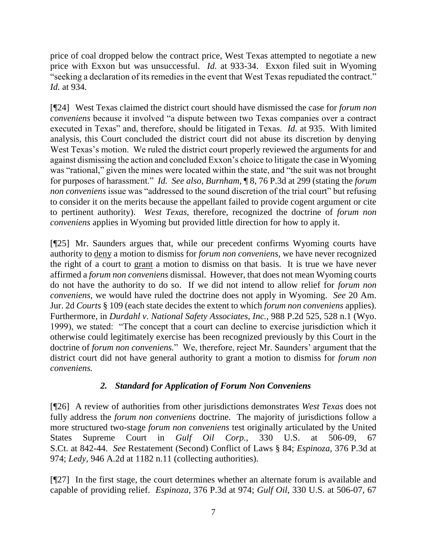price of coal dropped below the contract price, West Texas attempted to negotiate a new price with Exxon but was unsuccessful. *Id.* at 933-34. Exxon filed suit in Wyoming "seeking a declaration of its remedies in the event that West Texas repudiated the contract." *Id.* at 934.

[¶24] West Texas claimed the district court should have dismissed the case for *forum non conveniens* because it involved "a dispute between two Texas companies over a contract executed in Texas" and, therefore, should be litigated in Texas. *Id.* at 935. With limited analysis, this Court concluded the district court did not abuse its discretion by denying West Texas's motion. We ruled the district court properly reviewed the arguments for and against dismissing the action and concluded Exxon's choice to litigate the case in Wyoming was "rational," given the mines were located within the state, and "the suit was not brought for purposes of harassment." *Id. See also, Burnham,* ¶ 8, 76 P.3d at 299 (stating the *forum non conveniens* issue was "addressed to the sound discretion of the trial court" but refusing to consider it on the merits because the appellant failed to provide cogent argument or cite to pertinent authority). *West Texas,* therefore, recognized the doctrine of *forum non conveniens* applies in Wyoming but provided little direction for how to apply it.

[¶25] Mr. Saunders argues that, while our precedent confirms Wyoming courts have authority to deny a motion to dismiss for *forum non conveniens,* we have never recognized the right of a court to grant a motion to dismiss on that basis. It is true we have never affirmed a *forum non conveniens* dismissal. However, that does not mean Wyoming courts do not have the authority to do so. If we did not intend to allow relief for *forum non conveniens,* we would have ruled the doctrine does not apply in Wyoming. *See* 20 Am. Jur. 2d *Courts* § 109 (each state decides the extent to which *forum non conveniens* applies). Furthermore, in *Durdahl v. National Safety Associates, Inc.,* 988 P.2d 525, 528 n.1 (Wyo. 1999), we stated: "The concept that a court can decline to exercise jurisdiction which it otherwise could legitimately exercise has been recognized previously by this Court in the doctrine of *forum non conveniens.*" We, therefore, reject Mr. Saunders' argument that the district court did not have general authority to grant a motion to dismiss for *forum non conveniens.*

# *2. Standard for Application of Forum Non Conveniens*

[¶26] A review of authorities from other jurisdictions demonstrates *West Texas* does not fully address the *forum non conveniens* doctrine. The majority of jurisdictions follow a more structured two-stage *forum non conveniens* test originally articulated by the United States Supreme Court in *Gulf Oil Corp.,* 330 U.S. at 506-09, 67 S.Ct. at 842-44. *See* Restatement (Second) Conflict of Laws § 84; *Espinoza,* 376 P.3d at 974; *Ledy,* 946 A.2d at 1182 n.11 (collecting authorities).

[¶27] In the first stage, the court determines whether an alternate forum is available and capable of providing relief. *Espinoza,* 376 P.3d at 974; *Gulf Oil,* 330 U.S. at 506-07, 67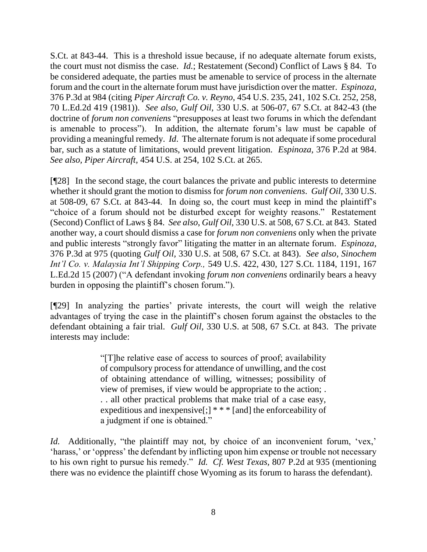S.Ct. at 843-44.This is a threshold issue because, if no adequate alternate forum exists, the court must not dismiss the case. *Id.*; Restatement (Second) Conflict of Laws § 84.To be considered adequate, the parties must be amenable to service of process in the alternate forum and the court in the alternate forum must have jurisdiction over the matter. *Espinoza,*  376 P.3d at 984 (citing *Piper Aircraft Co. v. Reyno,* 454 U.S. 235, 241, 102 S.Ct. 252, 258, 70 L.Ed.2d 419 (1981)). *See also, Gulf Oil,* 330 U.S. at 506-07, 67 S.Ct. at 842-43 (the doctrine of *forum non conveniens* "presupposes at least two forums in which the defendant is amenable to process"). In addition, the alternate forum's law must be capable of providing a meaningful remedy. *Id*. The alternate forum is not adequate if some procedural bar, such as a statute of limitations, would prevent litigation. *Espinoza,* 376 P.2d at 984. *See also, Piper Aircraft,* 454 U.S. at 254, 102 S.Ct. at 265.

[¶28] In the second stage, the court balances the private and public interests to determine whether it should grant the motion to dismiss for *forum non conveniens*. *Gulf Oil,* 330 U.S. at 508-09, 67 S.Ct. at 843-44. In doing so, the court must keep in mind the plaintiff's "choice of a forum should not be disturbed except for weighty reasons." Restatement (Second) Conflict of Laws § 84. *See also*, *Gulf Oil,* 330 U.S. at 508, 67 S.Ct. at 843. Stated another way, a court should dismiss a case for *forum non conveniens* only when the private and public interests "strongly favor" litigating the matter in an alternate forum. *Espinoza,*  376 P.3d at 975 (quoting *Gulf Oil,* 330 U.S. at 508, 67 S.Ct. at 843). *See also, [Sinochem](http://www.westlaw.com/Link/Document/FullText?findType=Y&serNum=2011591034&pubNum=0000708&originatingDoc=I0d3c766d02ae11e6b4bafa136b480ad2&refType=RP&originationContext=document&vr=3.0&rs=cblt1.0&transitionType=DocumentItem&contextData=(sc.Search))  [Int'l Co. v. Malaysia Int'l Shipping Corp.,](http://www.westlaw.com/Link/Document/FullText?findType=Y&serNum=2011591034&pubNum=0000708&originatingDoc=I0d3c766d02ae11e6b4bafa136b480ad2&refType=RP&originationContext=document&vr=3.0&rs=cblt1.0&transitionType=DocumentItem&contextData=(sc.Search))* 549 U.S. 422, 430, 127 S.Ct. 1184, 1191, 167 [L.Ed.2d 15 \(2007\)](http://www.westlaw.com/Link/Document/FullText?findType=Y&serNum=2011591034&pubNum=0000708&originatingDoc=I0d3c766d02ae11e6b4bafa136b480ad2&refType=RP&originationContext=document&vr=3.0&rs=cblt1.0&transitionType=DocumentItem&contextData=(sc.Search)) ("A defendant invoking *forum non conveniens* ordinarily bears a heavy burden in opposing the plaintiff's chosen forum.").

[¶29] In analyzing the parties' private interests, the court will weigh the relative advantages of trying the case in the plaintiff's chosen forum against the obstacles to the defendant obtaining a fair trial. *Gulf Oil,* 330 U.S. at 508, 67 S.Ct. at 843. The private interests may include:

> "[T]he relative ease of access to sources of proof; availability of compulsory process for attendance of unwilling, and the cost of obtaining attendance of willing, witnesses; possibility of view of premises, if view would be appropriate to the action; . . . all other practical problems that make trial of a case easy, expeditious and inexpensive[;]  $**$  [and] the enforceability of a judgment if one is obtained."

*Id.* Additionally, "the plaintiff may not, by choice of an inconvenient forum, 'vex,' 'harass,' or 'oppress' the defendant by inflicting upon him expense or trouble not necessary to his own right to pursue his remedy." *Id. Cf. West Texas,* 807 P.2d at 935 (mentioning there was no evidence the plaintiff chose Wyoming as its forum to harass the defendant).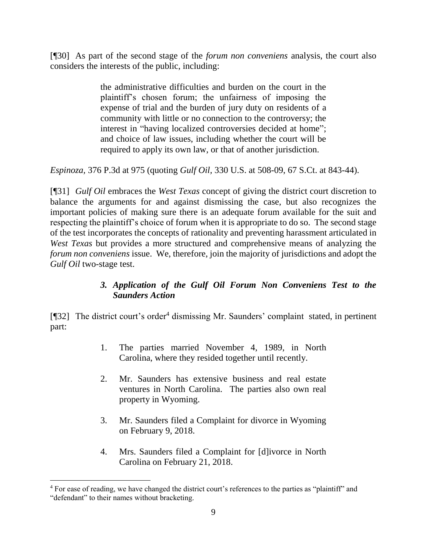[¶30] As part of the second stage of the *forum non conveniens* analysis, the court also considers the interests of the public, including:

> the administrative difficulties and burden on the court in the plaintiff's chosen forum; the unfairness of imposing the expense of trial and the burden of jury duty on residents of a community with little or no connection to the controversy; the interest in "having localized controversies decided at home"; and choice of law issues, including whether the court will be required to apply its own law, or that of another jurisdiction.

*Espinoza,* 376 P.3d at 975 (quoting *Gulf Oil,* 330 U.S. at 508-09, 67 S.Ct. at 843-44).

[¶31] *Gulf Oil* embraces the *West Texas* concept of giving the district court discretion to balance the arguments for and against dismissing the case, but also recognizes the important policies of making sure there is an adequate forum available for the suit and respecting the plaintiff's choice of forum when it is appropriate to do so. The second stage of the test incorporates the concepts of rationality and preventing harassment articulated in *West Texas* but provides a more structured and comprehensive means of analyzing the *forum non conveniens* issue. We, therefore, join the majority of jurisdictions and adopt the *Gulf Oil* two-stage test.

# *3. Application of the Gulf Oil Forum Non Conveniens Test to the Saunders Action*

[¶32] The district court's order<sup>4</sup> dismissing Mr. Saunders' complaint stated, in pertinent part:

- 1. The parties married November 4, 1989, in North Carolina, where they resided together until recently.
- 2. Mr. Saunders has extensive business and real estate ventures in North Carolina. The parties also own real property in Wyoming.
- 3. Mr. Saunders filed a Complaint for divorce in Wyoming on February 9, 2018.
- 4. Mrs. Saunders filed a Complaint for [d]ivorce in North Carolina on February 21, 2018.

l

<sup>&</sup>lt;sup>4</sup> For ease of reading, we have changed the district court's references to the parties as "plaintiff" and "defendant" to their names without bracketing.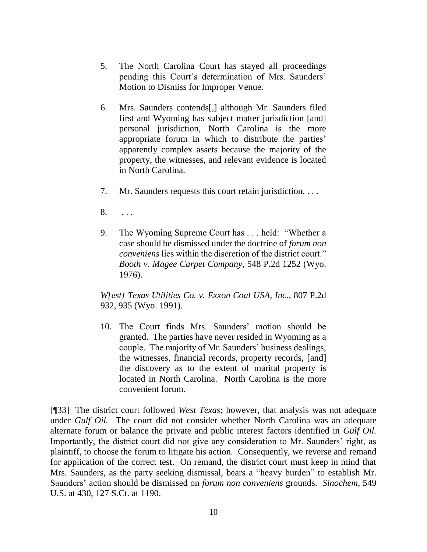- 5. The North Carolina Court has stayed all proceedings pending this Court's determination of Mrs. Saunders' Motion to Dismiss for Improper Venue.
- 6. Mrs. Saunders contends[,] although Mr. Saunders filed first and Wyoming has subject matter jurisdiction [and] personal jurisdiction, North Carolina is the more appropriate forum in which to distribute the parties' apparently complex assets because the majority of the property, the witnesses, and relevant evidence is located in North Carolina.
- 7. Mr. Saunders requests this court retain jurisdiction. . . .
- 8. . . .
- 9. The Wyoming Supreme Court has . . . held: "Whether a case should be dismissed under the doctrine of *forum non conveniens* lies within the discretion of the district court." *Booth v. Magee Carpet Company,* 548 P.2d 1252 (Wyo. 1976).

*W[est] Texas Utilities Co. v. Exxon Coal USA, Inc.*, 807 P.2d 932, 935 (Wyo. 1991).

10. The Court finds Mrs. Saunders' motion should be granted. The parties have never resided in Wyoming as a couple. The majority of Mr. Saunders' business dealings, the witnesses, financial records, property records, [and] the discovery as to the extent of marital property is located in North Carolina. North Carolina is the more convenient forum.

[¶33] The district court followed *West Texas*; however, that analysis was not adequate under *Gulf Oil*. The court did not consider whether North Carolina was an adequate alternate forum or balance the private and public interest factors identified in *Gulf Oil.*  Importantly, the district court did not give any consideration to Mr. Saunders' right, as plaintiff, to choose the forum to litigate his action. Consequently, we reverse and remand for application of the correct test. On remand, the district court must keep in mind that Mrs. Saunders, as the party seeking dismissal, bears a "heavy burden" to establish Mr. Saunders' action should be dismissed on *forum non conveniens* grounds. *Sinochem,* 549 U.S. at 430, 127 S.Ct. at 1190.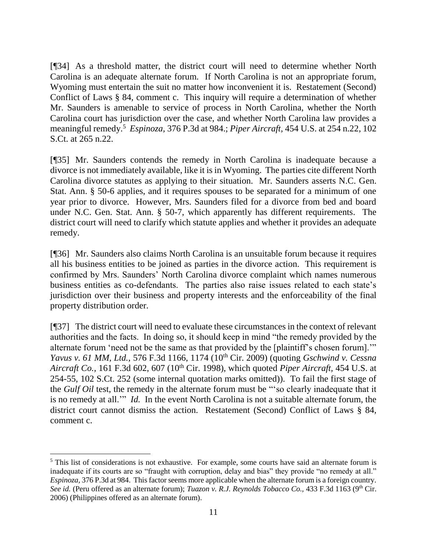[¶34] As a threshold matter, the district court will need to determine whether North Carolina is an adequate alternate forum. If North Carolina is not an appropriate forum, Wyoming must entertain the suit no matter how inconvenient it is. Restatement (Second) Conflict of Laws § 84, comment c. This inquiry will require a determination of whether Mr. Saunders is amenable to service of process in North Carolina, whether the North Carolina court has jurisdiction over the case, and whether North Carolina law provides a meaningful remedy.<sup>5</sup> *Espinoza,* 376 P.3d at 984.; *Piper Aircraft,* 454 U.S. at 254 n.22, 102 S.Ct. at 265 n.22.

[¶35] Mr. Saunders contends the remedy in North Carolina is inadequate because a divorce is not immediately available, like it is in Wyoming. The parties cite different North Carolina divorce statutes as applying to their situation. Mr. Saunders asserts N.C. Gen. Stat. Ann. § 50-6 applies, and it requires spouses to be separated for a minimum of one year prior to divorce. However, Mrs. Saunders filed for a divorce from bed and board under N.C. Gen. Stat. Ann. § 50-7, which apparently has different requirements. The district court will need to clarify which statute applies and whether it provides an adequate remedy.

[¶36] Mr. Saunders also claims North Carolina is an unsuitable forum because it requires all his business entities to be joined as parties in the divorce action. This requirement is confirmed by Mrs. Saunders' North Carolina divorce complaint which names numerous business entities as co-defendants. The parties also raise issues related to each state's jurisdiction over their business and property interests and the enforceability of the final property distribution order.

[¶37] The district court will need to evaluate these circumstances in the context of relevant authorities and the facts. In doing so, it should keep in mind "the remedy provided by the alternate forum 'need not be the same as that provided by the [plaintiff's chosen forum].'" *Yavus v. 61 MM, Ltd.,* 576 F.3d 1166, 1174 (10th Cir. 2009) (quoting *Gschwind v. Cessna Aircraft Co.,* 161 F.3d 602, 607 (10<sup>th</sup> Cir. 1998), which quoted *Piper Aircraft*, 454 U.S. at 254-55, 102 S.Ct. 252 (some internal quotation marks omitted)). To fail the first stage of the *Gulf Oil* test, the remedy in the alternate forum must be "'so clearly inadequate that it is no remedy at all.'" *Id.* In the event North Carolina is not a suitable alternate forum, the district court cannot dismiss the action. Restatement (Second) Conflict of Laws § 84, comment c.

  $<sup>5</sup>$  This list of considerations is not exhaustive. For example, some courts have said an alternate forum is</sup> inadequate if its courts are so "fraught with corruption, delay and bias" they provide "no remedy at all." *Espinoza,* 376 P.3d at 984. This factor seems more applicable when the alternate forum is a foreign country. *See id.* (Peru offered as an alternate forum); *Tuazon v. R.J. Reynolds Tobacco Co.*, 433 F.3d 1163 (9<sup>th</sup> Cir. 2006) (Philippines offered as an alternate forum).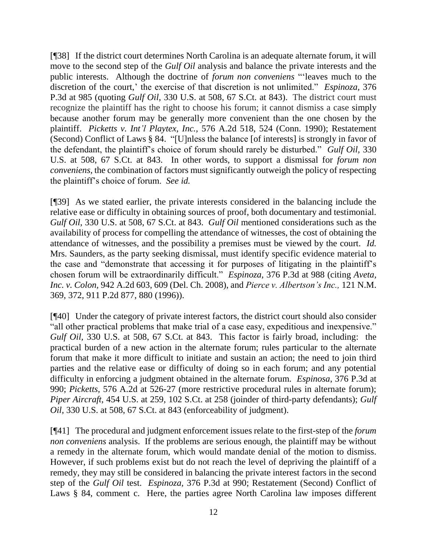[¶38] If the district court determines North Carolina is an adequate alternate forum, it will move to the second step of the *Gulf Oil* analysis and balance the private interests and the public interests. Although the doctrine of *forum non conveniens* "'leaves much to the discretion of the court,' the exercise of that discretion is not unlimited." *Espinoza,* 376 P.3d at 985 (quoting *Gulf Oil,* 330 U.S. at 508, 67 S.Ct. at 843). The district court must recognize the plaintiff has the right to choose his forum; it cannot dismiss a case simply because another forum may be generally more convenient than the one chosen by the plaintiff. *Picketts v. Int'l Playtex, Inc.,* 576 A.2d 518, 524 (Conn. 1990); Restatement (Second) Conflict of Laws § 84. "[U]nless the balance [of interests] is strongly in favor of the defendant, the plaintiff's choice of forum should rarely be disturbed." *Gulf Oil,* 330 U.S. at 508, 67 S.Ct. at 843. In other words, to support a dismissal for *forum non conveniens,* the combination of factors must significantly outweigh the policy of respecting the plaintiff's choice of forum. *See id.* 

[¶39] As we stated earlier, the private interests considered in the balancing include the relative ease or difficulty in obtaining sources of proof, both documentary and testimonial. *Gulf Oil,* 330 U.S. at 508, 67 S.Ct. at 843. *Gulf Oil* mentioned considerations such as the availability of process for compelling the attendance of witnesses, the cost of obtaining the attendance of witnesses, and the possibility a premises must be viewed by the court. *Id.*  Mrs. Saunders, as the party seeking dismissal, must identify specific evidence material to the case and "demonstrate that accessing it for purposes of litigating in the plaintiff's chosen forum will be extraordinarily difficult." *Espinoza,* 376 P.3d at 988 (citing *[Aveta,](http://www.westlaw.com/Link/Document/FullText?findType=Y&serNum=2015146997&pubNum=0000162&originatingDoc=I0d3c766d02ae11e6b4bafa136b480ad2&refType=RP&fi=co_pp_sp_162_609&originationContext=document&vr=3.0&rs=cblt1.0&transitionType=DocumentItem&contextData=(sc.Search)#co_pp_sp_162_609)  Inc. v. Colon,* [942 A.2d 603, 609 \(Del.](http://www.westlaw.com/Link/Document/FullText?findType=Y&serNum=2015146997&pubNum=0000162&originatingDoc=I0d3c766d02ae11e6b4bafa136b480ad2&refType=RP&fi=co_pp_sp_162_609&originationContext=document&vr=3.0&rs=cblt1.0&transitionType=DocumentItem&contextData=(sc.Search)#co_pp_sp_162_609) Ch. 2008), and *[Pierce v. Albertson's Inc.,](http://www.westlaw.com/Link/Document/FullText?findType=Y&serNum=1996054020&pubNum=0000661&originatingDoc=I0d3c766d02ae11e6b4bafa136b480ad2&refType=RP&fi=co_pp_sp_661_880&originationContext=document&vr=3.0&rs=cblt1.0&transitionType=DocumentItem&contextData=(sc.Search)#co_pp_sp_661_880)* 121 N.M. [369, 372, 911 P.2d 877, 880 \(1996\)\)](http://www.westlaw.com/Link/Document/FullText?findType=Y&serNum=1996054020&pubNum=0000661&originatingDoc=I0d3c766d02ae11e6b4bafa136b480ad2&refType=RP&fi=co_pp_sp_661_880&originationContext=document&vr=3.0&rs=cblt1.0&transitionType=DocumentItem&contextData=(sc.Search)#co_pp_sp_661_880).

[¶40] Under the category of private interest factors, the district court should also consider "all other practical problems that make trial of a case easy, expeditious and inexpensive." *Gulf Oil,* 330 U.S. at 508, 67 S.Ct. at 843. This factor is fairly broad, including: the practical burden of a new action in the alternate forum; rules particular to the alternate forum that make it more difficult to initiate and sustain an action; the need to join third parties and the relative ease or difficulty of doing so in each forum; and any potential difficulty in enforcing a judgment obtained in the alternate forum. *Espinosa*, 376 P.3d at 990; *Picketts,* 576 A.2d at 526-27 (more restrictive procedural rules in alternate forum); *Piper Aircraft,* 454 U.S. at 259, 102 S.Ct. at 258 (joinder of third-party defendants); *Gulf Oil,* 330 U.S. at 508, 67 S.Ct. at 843 (enforceability of judgment).

[¶41] The procedural and judgment enforcement issues relate to the first-step of the *forum non conveniens* analysis. If the problems are serious enough, the plaintiff may be without a remedy in the alternate forum, which would mandate denial of the motion to dismiss. However, if such problems exist but do not reach the level of depriving the plaintiff of a remedy, they may still be considered in balancing the private interest factors in the second step of the *Gulf Oil* test. *Espinoza,* 376 P.3d at 990; Restatement (Second) Conflict of Laws § 84, comment c. Here, the parties agree North Carolina law imposes different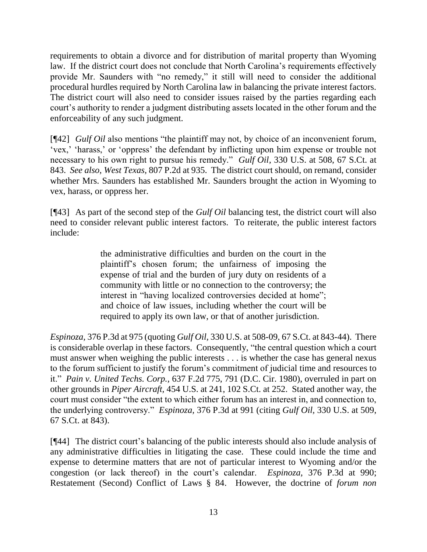requirements to obtain a divorce and for distribution of marital property than Wyoming law. If the district court does not conclude that North Carolina's requirements effectively provide Mr. Saunders with "no remedy," it still will need to consider the additional procedural hurdles required by North Carolina law in balancing the private interest factors. The district court will also need to consider issues raised by the parties regarding each court's authority to render a judgment distributing assets located in the other forum and the enforceability of any such judgment.

[¶42] *Gulf Oil* also mentions "the plaintiff may not, by choice of an inconvenient forum, 'vex,' 'harass,' or 'oppress' the defendant by inflicting upon him expense or trouble not necessary to his own right to pursue his remedy." *Gulf Oil,* 330 U.S. at 508, 67 S.Ct. at 843. *See also*, *West Texas,* 807 P.2d at 935. The district court should, on remand, consider whether Mrs. Saunders has established Mr. Saunders brought the action in Wyoming to vex, harass, or oppress her.

[¶43] As part of the second step of the *Gulf Oil* balancing test, the district court will also need to consider relevant public interest factors. To reiterate, the public interest factors include:

> the administrative difficulties and burden on the court in the plaintiff's chosen forum; the unfairness of imposing the expense of trial and the burden of jury duty on residents of a community with little or no connection to the controversy; the interest in "having localized controversies decided at home"; and choice of law issues, including whether the court will be required to apply its own law, or that of another jurisdiction.

*Espinoza,* 376 P.3d at 975 (quoting *Gulf Oil,* 330 U.S. at 508-09, 67 S.Ct. at 843-44). There is considerable overlap in these factors. Consequently, "the central question which a court must answer when weighing the public interests . . . is whether the case has general nexus to the forum sufficient to justify the forum's commitment of judicial time and resources to it." *Pain v. United Techs. Corp.,* 637 F.2d 775, 791 (D.C. Cir. 1980), overruled in part on other grounds in *Piper Aircraft,* 454 U.S. at 241, 102 S.Ct. at 252. Stated another way, the court must consider "the extent to which either forum has an interest in, and connection to, the underlying controversy." *Espinoza,* 376 P.3d at 991 (citing *Gulf Oil,* 330 U.S. at 509, 67 S.Ct. at 843).

[¶44] The district court's balancing of the public interests should also include analysis of any administrative difficulties in litigating the case. These could include the time and expense to determine matters that are not of particular interest to Wyoming and/or the congestion (or lack thereof) in the court's calendar. *Espinoza,* 376 P.3d at 990; Restatement (Second) Conflict of Laws § 84. However, the doctrine of *forum non*